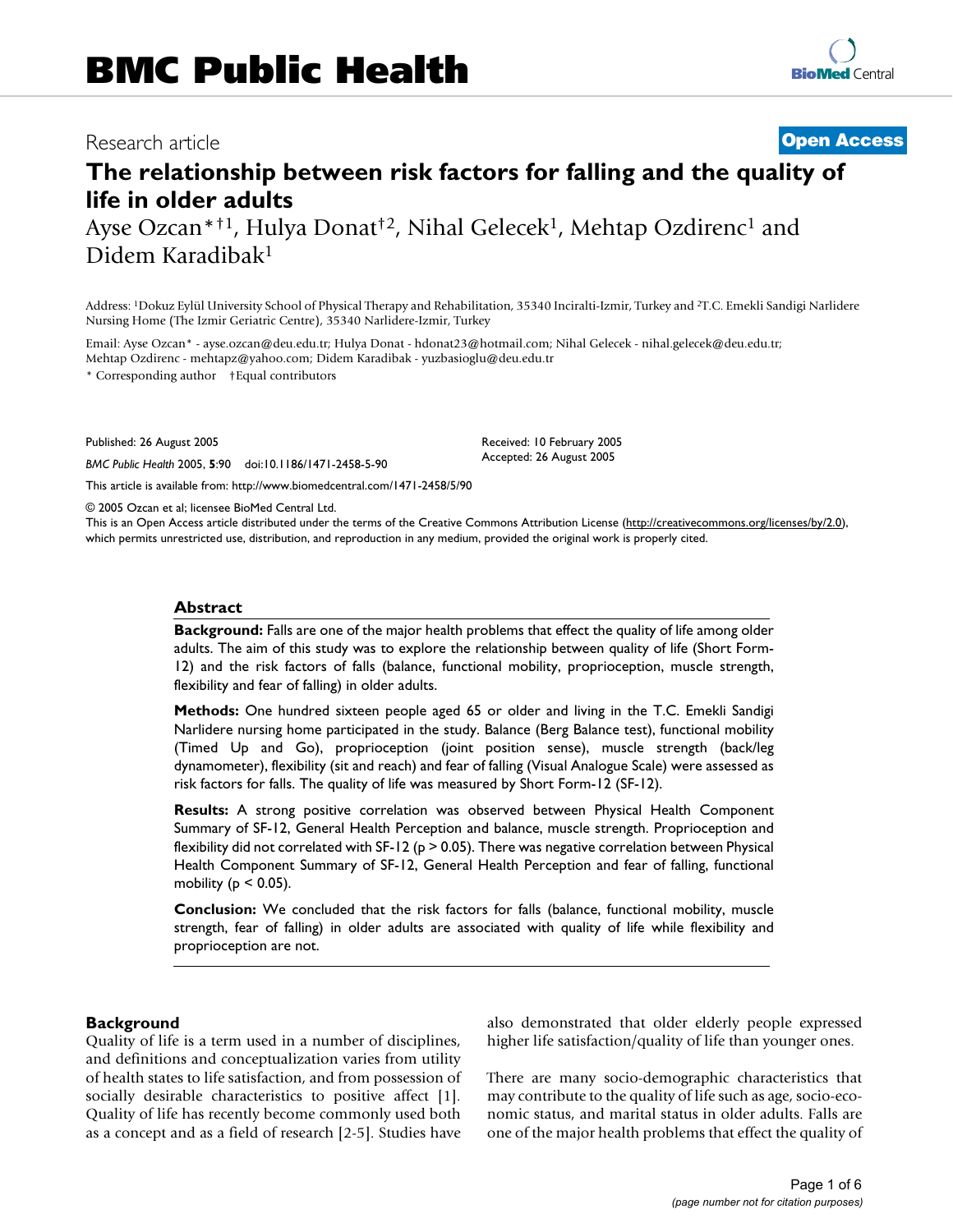# Research article **[Open Access](http://www.biomedcentral.com/info/about/charter/)**

# **The relationship between risk factors for falling and the quality of life in older adults**

Ayse Ozcan\*<sup>†1</sup>, Hulya Donat<sup>†2</sup>, Nihal Gelecek<sup>1</sup>, Mehtap Ozdirenc<sup>1</sup> and Didem Karadibak1

Address: 1Dokuz Eylül University School of Physical Therapy and Rehabilitation, 35340 Inciralti-Izmir, Turkey and 2T.C. Emekli Sandigi Narlidere Nursing Home (The Izmir Geriatric Centre), 35340 Narlidere-Izmir, Turkey

Email: Ayse Ozcan\* - ayse.ozcan@deu.edu.tr; Hulya Donat - hdonat23@hotmail.com; Nihal Gelecek - nihal.gelecek@deu.edu.tr; Mehtap Ozdirenc - mehtapz@yahoo.com; Didem Karadibak - yuzbasioglu@deu.edu.tr

\* Corresponding author †Equal contributors

Published: 26 August 2005

*BMC Public Health* 2005, **5**:90 doi:10.1186/1471-2458-5-90

[This article is available from: http://www.biomedcentral.com/1471-2458/5/90](http://www.biomedcentral.com/1471-2458/5/90)

© 2005 Ozcan et al; licensee BioMed Central Ltd.

This is an Open Access article distributed under the terms of the Creative Commons Attribution License [\(http://creativecommons.org/licenses/by/2.0\)](http://creativecommons.org/licenses/by/2.0), which permits unrestricted use, distribution, and reproduction in any medium, provided the original work is properly cited.

Received: 10 February 2005 Accepted: 26 August 2005

#### **Abstract**

**Background:** Falls are one of the major health problems that effect the quality of life among older adults. The aim of this study was to explore the relationship between quality of life (Short Form-12) and the risk factors of falls (balance, functional mobility, proprioception, muscle strength, flexibility and fear of falling) in older adults.

**Methods:** One hundred sixteen people aged 65 or older and living in the T.C. Emekli Sandigi Narlidere nursing home participated in the study. Balance (Berg Balance test), functional mobility (Timed Up and Go), proprioception (joint position sense), muscle strength (back/leg dynamometer), flexibility (sit and reach) and fear of falling (Visual Analogue Scale) were assessed as risk factors for falls. The quality of life was measured by Short Form-12 (SF-12).

**Results:** A strong positive correlation was observed between Physical Health Component Summary of SF-12, General Health Perception and balance, muscle strength. Proprioception and flexibility did not correlated with SF-12 ( $p > 0.05$ ). There was negative correlation between Physical Health Component Summary of SF-12, General Health Perception and fear of falling, functional mobility ( $p \le 0.05$ ).

**Conclusion:** We concluded that the risk factors for falls (balance, functional mobility, muscle strength, fear of falling) in older adults are associated with quality of life while flexibility and proprioception are not.

#### **Background**

Quality of life is a term used in a number of disciplines, and definitions and conceptualization varies from utility of health states to life satisfaction, and from possession of socially desirable characteristics to positive affect [1]. Quality of life has recently become commonly used both as a concept and as a field of research [2-5]. Studies have also demonstrated that older elderly people expressed higher life satisfaction/quality of life than younger ones.

There are many socio-demographic characteristics that may contribute to the quality of life such as age, socio-economic status, and marital status in older adults. Falls are one of the major health problems that effect the quality of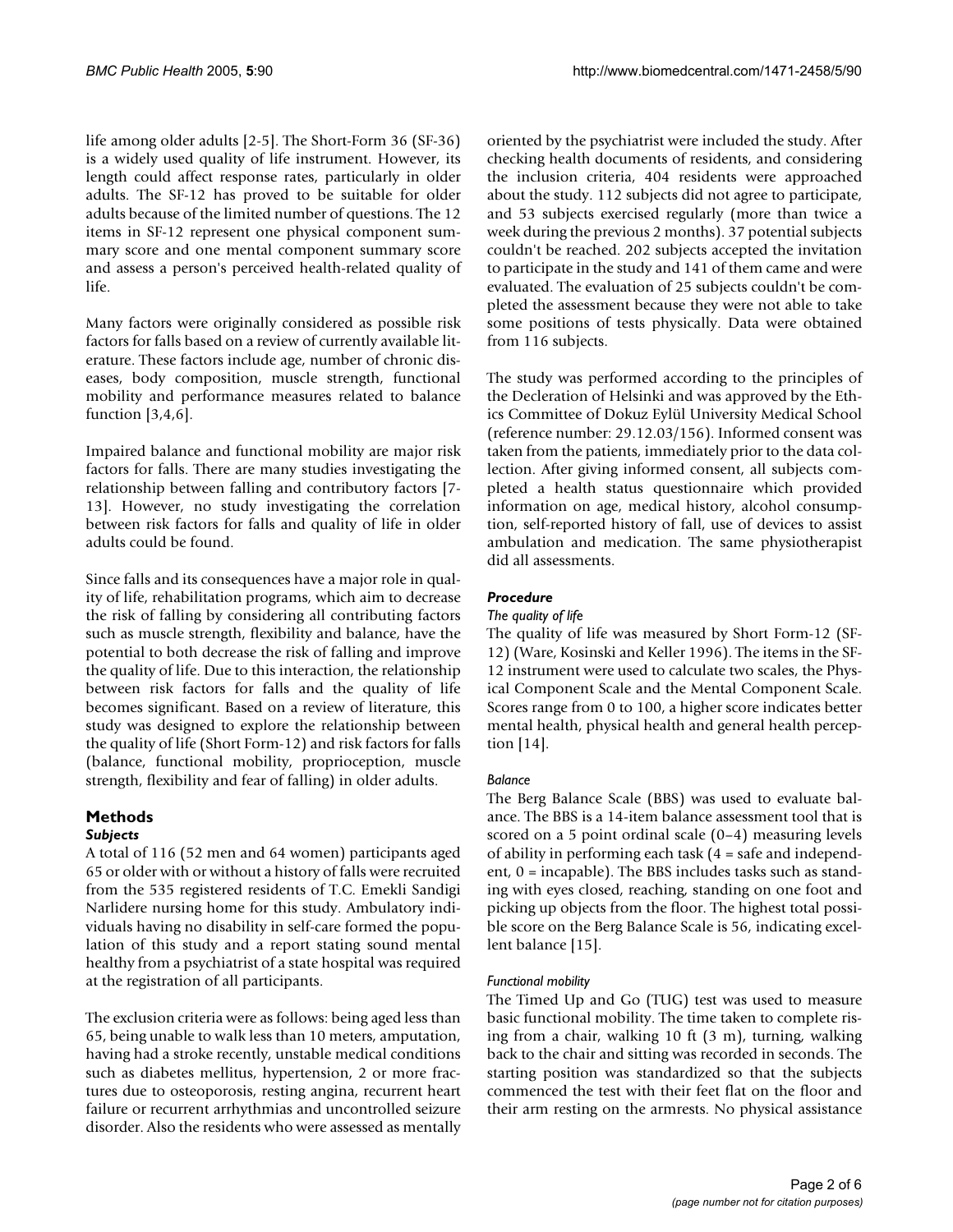life among older adults [2-5]. The Short-Form 36 (SF-36) is a widely used quality of life instrument. However, its length could affect response rates, particularly in older adults. The SF-12 has proved to be suitable for older adults because of the limited number of questions. The 12 items in SF-12 represent one physical component summary score and one mental component summary score and assess a person's perceived health-related quality of life.

Many factors were originally considered as possible risk factors for falls based on a review of currently available literature. These factors include age, number of chronic diseases, body composition, muscle strength, functional mobility and performance measures related to balance function [3,4,6].

Impaired balance and functional mobility are major risk factors for falls. There are many studies investigating the relationship between falling and contributory factors [7- 13]. However, no study investigating the correlation between risk factors for falls and quality of life in older adults could be found.

Since falls and its consequences have a major role in quality of life, rehabilitation programs, which aim to decrease the risk of falling by considering all contributing factors such as muscle strength, flexibility and balance, have the potential to both decrease the risk of falling and improve the quality of life. Due to this interaction, the relationship between risk factors for falls and the quality of life becomes significant. Based on a review of literature, this study was designed to explore the relationship between the quality of life (Short Form-12) and risk factors for falls (balance, functional mobility, proprioception, muscle strength, flexibility and fear of falling) in older adults.

#### **Methods** *Subjects*

A total of 116 (52 men and 64 women) participants aged 65 or older with or without a history of falls were recruited from the 535 registered residents of T.C. Emekli Sandigi Narlidere nursing home for this study. Ambulatory individuals having no disability in self-care formed the population of this study and a report stating sound mental healthy from a psychiatrist of a state hospital was required at the registration of all participants.

The exclusion criteria were as follows: being aged less than 65, being unable to walk less than 10 meters, amputation, having had a stroke recently, unstable medical conditions such as diabetes mellitus, hypertension, 2 or more fractures due to osteoporosis, resting angina, recurrent heart failure or recurrent arrhythmias and uncontrolled seizure disorder. Also the residents who were assessed as mentally

oriented by the psychiatrist were included the study. After checking health documents of residents, and considering the inclusion criteria, 404 residents were approached about the study. 112 subjects did not agree to participate, and 53 subjects exercised regularly (more than twice a week during the previous 2 months). 37 potential subjects couldn't be reached. 202 subjects accepted the invitation to participate in the study and 141 of them came and were evaluated. The evaluation of 25 subjects couldn't be completed the assessment because they were not able to take some positions of tests physically. Data were obtained from 116 subjects.

The study was performed according to the principles of the Decleration of Helsinki and was approved by the Ethics Committee of Dokuz Eylül University Medical School (reference number: 29.12.03/156). Informed consent was taken from the patients, immediately prior to the data collection. After giving informed consent, all subjects completed a health status questionnaire which provided information on age, medical history, alcohol consumption, self-reported history of fall, use of devices to assist ambulation and medication. The same physiotherapist did all assessments.

# *Procedure*

# *The quality of life*

The quality of life was measured by Short Form-12 (SF-12) (Ware, Kosinski and Keller 1996). The items in the SF-12 instrument were used to calculate two scales, the Physical Component Scale and the Mental Component Scale. Scores range from 0 to 100, a higher score indicates better mental health, physical health and general health perception [14].

# *Balance*

The Berg Balance Scale (BBS) was used to evaluate balance. The BBS is a 14-item balance assessment tool that is scored on a 5 point ordinal scale (0–4) measuring levels of ability in performing each task (4 = safe and independent, 0 = incapable). The BBS includes tasks such as standing with eyes closed, reaching, standing on one foot and picking up objects from the floor. The highest total possible score on the Berg Balance Scale is 56, indicating excellent balance [15].

# *Functional mobility*

The Timed Up and Go (TUG) test was used to measure basic functional mobility. The time taken to complete rising from a chair, walking 10 ft (3 m), turning, walking back to the chair and sitting was recorded in seconds. The starting position was standardized so that the subjects commenced the test with their feet flat on the floor and their arm resting on the armrests. No physical assistance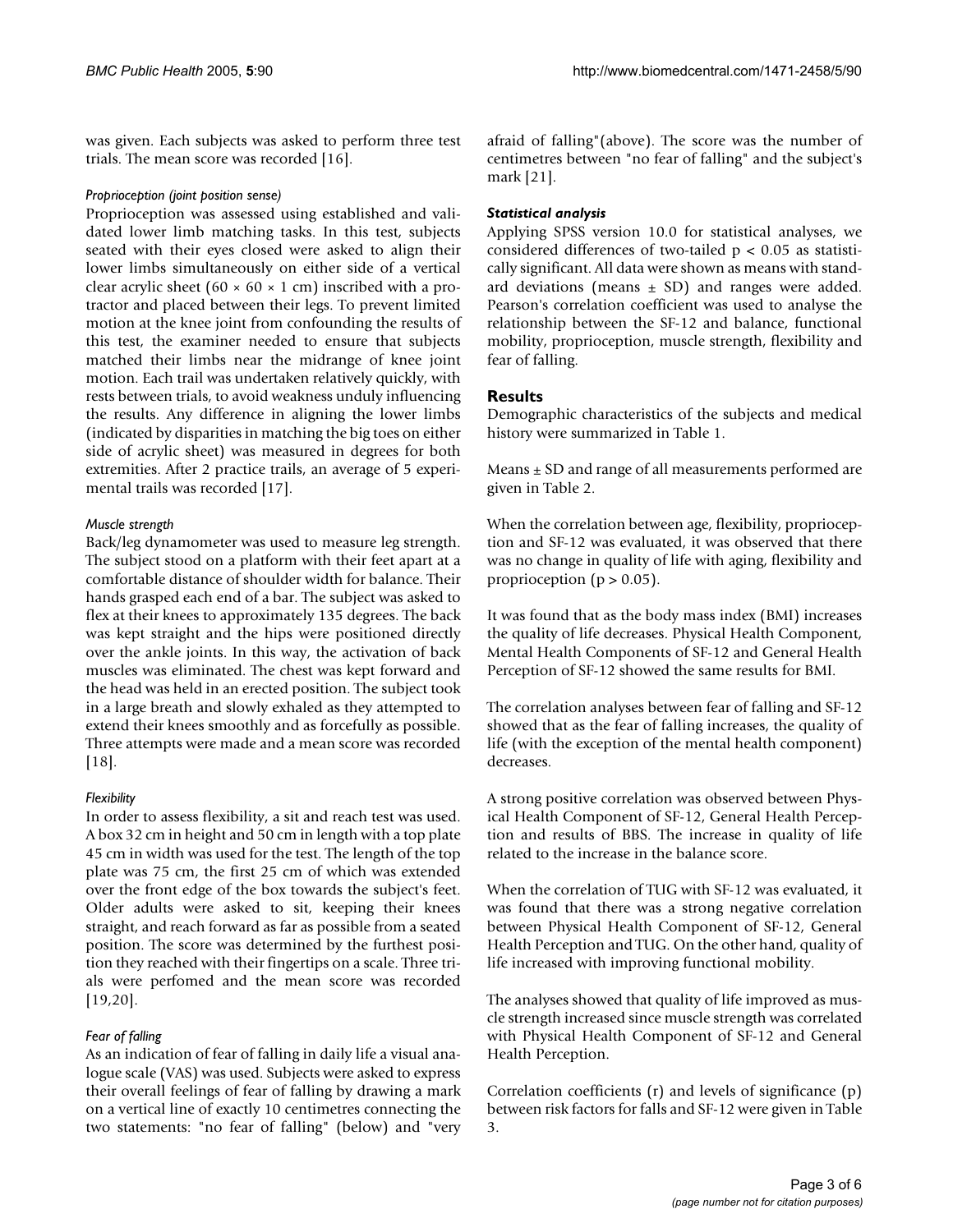was given. Each subjects was asked to perform three test trials. The mean score was recorded [16].

#### *Proprioception (joint position sense)*

Proprioception was assessed using established and validated lower limb matching tasks. In this test, subjects seated with their eyes closed were asked to align their lower limbs simultaneously on either side of a vertical clear acrylic sheet (60  $\times$  60  $\times$  1 cm) inscribed with a protractor and placed between their legs. To prevent limited motion at the knee joint from confounding the results of this test, the examiner needed to ensure that subjects matched their limbs near the midrange of knee joint motion. Each trail was undertaken relatively quickly, with rests between trials, to avoid weakness unduly influencing the results. Any difference in aligning the lower limbs (indicated by disparities in matching the big toes on either side of acrylic sheet) was measured in degrees for both extremities. After 2 practice trails, an average of 5 experimental trails was recorded [17].

#### *Muscle strength*

Back/leg dynamometer was used to measure leg strength. The subject stood on a platform with their feet apart at a comfortable distance of shoulder width for balance. Their hands grasped each end of a bar. The subject was asked to flex at their knees to approximately 135 degrees. The back was kept straight and the hips were positioned directly over the ankle joints. In this way, the activation of back muscles was eliminated. The chest was kept forward and the head was held in an erected position. The subject took in a large breath and slowly exhaled as they attempted to extend their knees smoothly and as forcefully as possible. Three attempts were made and a mean score was recorded [18].

# *Flexibility*

In order to assess flexibility, a sit and reach test was used. A box 32 cm in height and 50 cm in length with a top plate 45 cm in width was used for the test. The length of the top plate was 75 cm, the first 25 cm of which was extended over the front edge of the box towards the subject's feet. Older adults were asked to sit, keeping their knees straight, and reach forward as far as possible from a seated position. The score was determined by the furthest position they reached with their fingertips on a scale. Three trials were perfomed and the mean score was recorded [19,20].

# *Fear of falling*

As an indication of fear of falling in daily life a visual analogue scale (VAS) was used. Subjects were asked to express their overall feelings of fear of falling by drawing a mark on a vertical line of exactly 10 centimetres connecting the two statements: "no fear of falling" (below) and "very afraid of falling"(above). The score was the number of centimetres between "no fear of falling" and the subject's mark [21].

# *Statistical analysis*

Applying SPSS version 10.0 for statistical analyses, we considered differences of two-tailed  $p < 0.05$  as statistically significant. All data were shown as means with standard deviations (means  $\pm$  SD) and ranges were added. Pearson's correlation coefficient was used to analyse the relationship between the SF-12 and balance, functional mobility, proprioception, muscle strength, flexibility and fear of falling.

# **Results**

Demographic characteristics of the subjects and medical history were summarized in Table 1.

Means  $\pm$  SD and range of all measurements performed are given in Table [2](#page-3-0).

When the correlation between age, flexibility, proprioception and SF-12 was evaluated, it was observed that there was no change in quality of life with aging, flexibility and proprioception ( $p > 0.05$ ).

It was found that as the body mass index (BMI) increases the quality of life decreases. Physical Health Component, Mental Health Components of SF-12 and General Health Perception of SF-12 showed the same results for BMI.

The correlation analyses between fear of falling and SF-12 showed that as the fear of falling increases, the quality of life (with the exception of the mental health component) decreases.

A strong positive correlation was observed between Physical Health Component of SF-12, General Health Perception and results of BBS. The increase in quality of life related to the increase in the balance score.

When the correlation of TUG with SF-12 was evaluated, it was found that there was a strong negative correlation between Physical Health Component of SF-12, General Health Perception and TUG. On the other hand, quality of life increased with improving functional mobility.

The analyses showed that quality of life improved as muscle strength increased since muscle strength was correlated with Physical Health Component of SF-12 and General Health Perception.

Correlation coefficients (r) and levels of significance (p) between risk factors for falls and SF-12 were given in Table [3](#page-4-0).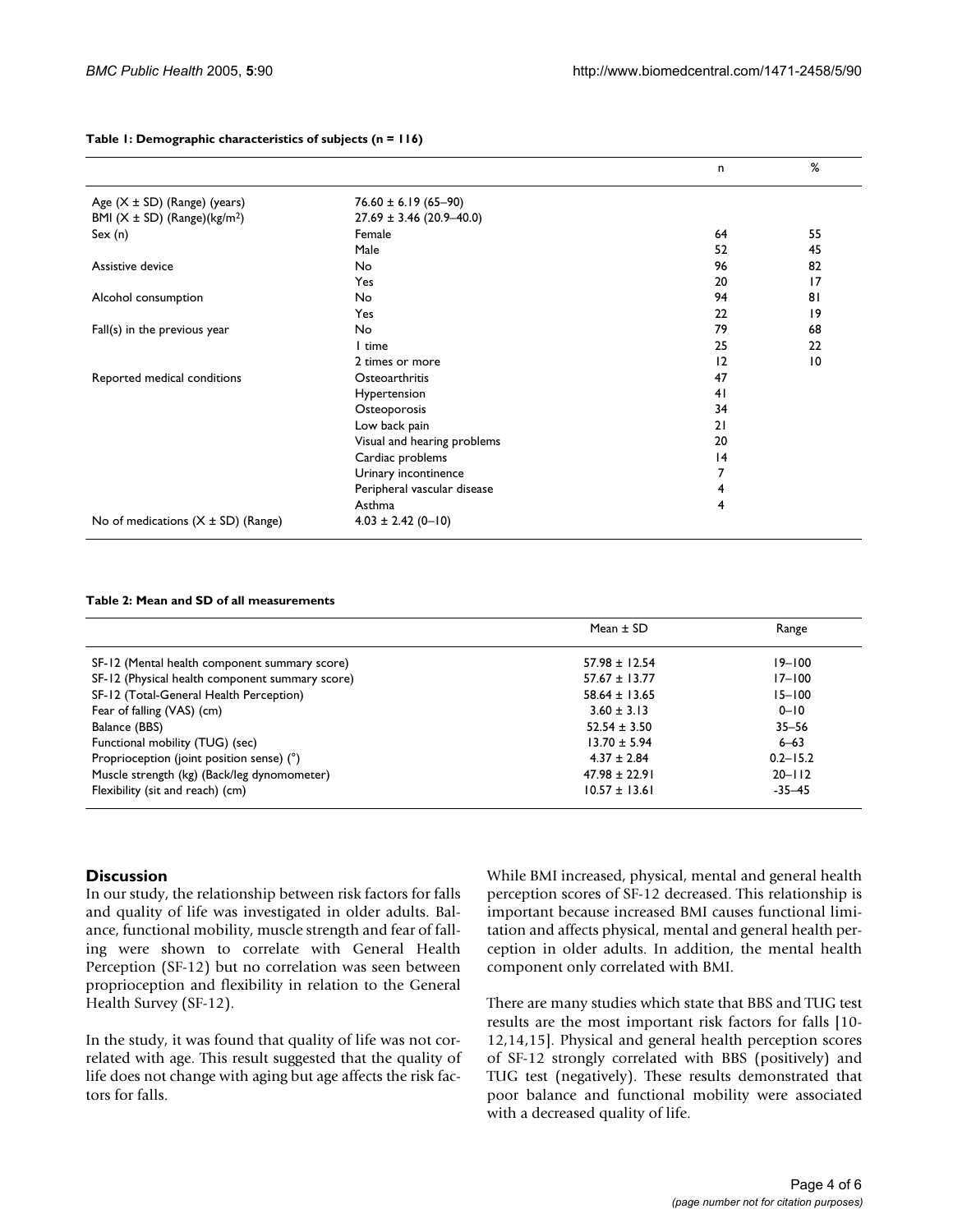|                                              |                              | n  | %               |
|----------------------------------------------|------------------------------|----|-----------------|
| Age (X ± SD) (Range) (years)                 | $76.60 \pm 6.19 (65 - 90)$   |    |                 |
| BMI $(X \pm SD)$ (Range)(kg/m <sup>2</sup> ) | $27.69 \pm 3.46$ (20.9-40.0) |    |                 |
| Sex(n)                                       | Female                       | 64 | 55              |
|                                              | Male                         | 52 | 45              |
| Assistive device                             | No                           | 96 | 82              |
|                                              | Yes                          | 20 | $\overline{17}$ |
| Alcohol consumption                          | No                           | 94 | 81              |
|                                              | Yes                          | 22 | $\overline{19}$ |
| Fall(s) in the previous year                 | No                           | 79 | 68              |
|                                              | l time                       | 25 | 22              |
|                                              | 2 times or more              | 12 | $\overline{10}$ |
| Reported medical conditions                  | Osteoarthritis               | 47 |                 |
|                                              | Hypertension                 | 41 |                 |
|                                              | Osteoporosis                 | 34 |                 |
|                                              | Low back pain                | 21 |                 |
|                                              | Visual and hearing problems  | 20 |                 |
|                                              | Cardiac problems             | 4  |                 |
|                                              | Urinary incontinence         |    |                 |
|                                              | Peripheral vascular disease  | 4  |                 |
|                                              | Asthma                       | 4  |                 |
| No of medications $(X \pm SD)$ (Range)       | $4.03 \pm 2.42$ (0-10)       |    |                 |

#### **Table 1: Demographic characteristics of subjects (n = 116)**

#### <span id="page-3-0"></span>**Table 2: Mean and SD of all measurements**

|                                                 | Mean $\pm$ SD     | Range        |
|-------------------------------------------------|-------------------|--------------|
| SF-12 (Mental health component summary score)   | $57.98 \pm 12.54$ | $19 - 100$   |
| SF-12 (Physical health component summary score) | $57.67 \pm 13.77$ | $17 - 100$   |
| SF-12 (Total-General Health Perception)         | $58.64 \pm 13.65$ | $15 - 100$   |
| Fear of falling (VAS) (cm)                      | $3.60 \pm 3.13$   | $0 - 10$     |
| Balance (BBS)                                   | $52.54 \pm 3.50$  | $35 - 56$    |
| Functional mobility (TUG) (sec)                 | $13.70 \pm 5.94$  | $6 - 63$     |
| Proprioception (joint position sense) (°)       | $4.37 \pm 2.84$   | $0.2 - 15.2$ |
| Muscle strength (kg) (Back/leg dynomometer)     | $47.98 \pm 22.91$ | $20 - 112$   |
| Flexibility (sit and reach) (cm)                | $10.57 \pm 13.61$ | $-35 - 45$   |

#### **Discussion**

In our study, the relationship between risk factors for falls and quality of life was investigated in older adults. Balance, functional mobility, muscle strength and fear of falling were shown to correlate with General Health Perception (SF-12) but no correlation was seen between proprioception and flexibility in relation to the General Health Survey (SF-12).

In the study, it was found that quality of life was not correlated with age. This result suggested that the quality of life does not change with aging but age affects the risk factors for falls.

While BMI increased, physical, mental and general health perception scores of SF-12 decreased. This relationship is important because increased BMI causes functional limitation and affects physical, mental and general health perception in older adults. In addition, the mental health component only correlated with BMI.

There are many studies which state that BBS and TUG test results are the most important risk factors for falls [10- 12,14,15]. Physical and general health perception scores of SF-12 strongly correlated with BBS (positively) and TUG test (negatively). These results demonstrated that poor balance and functional mobility were associated with a decreased quality of life.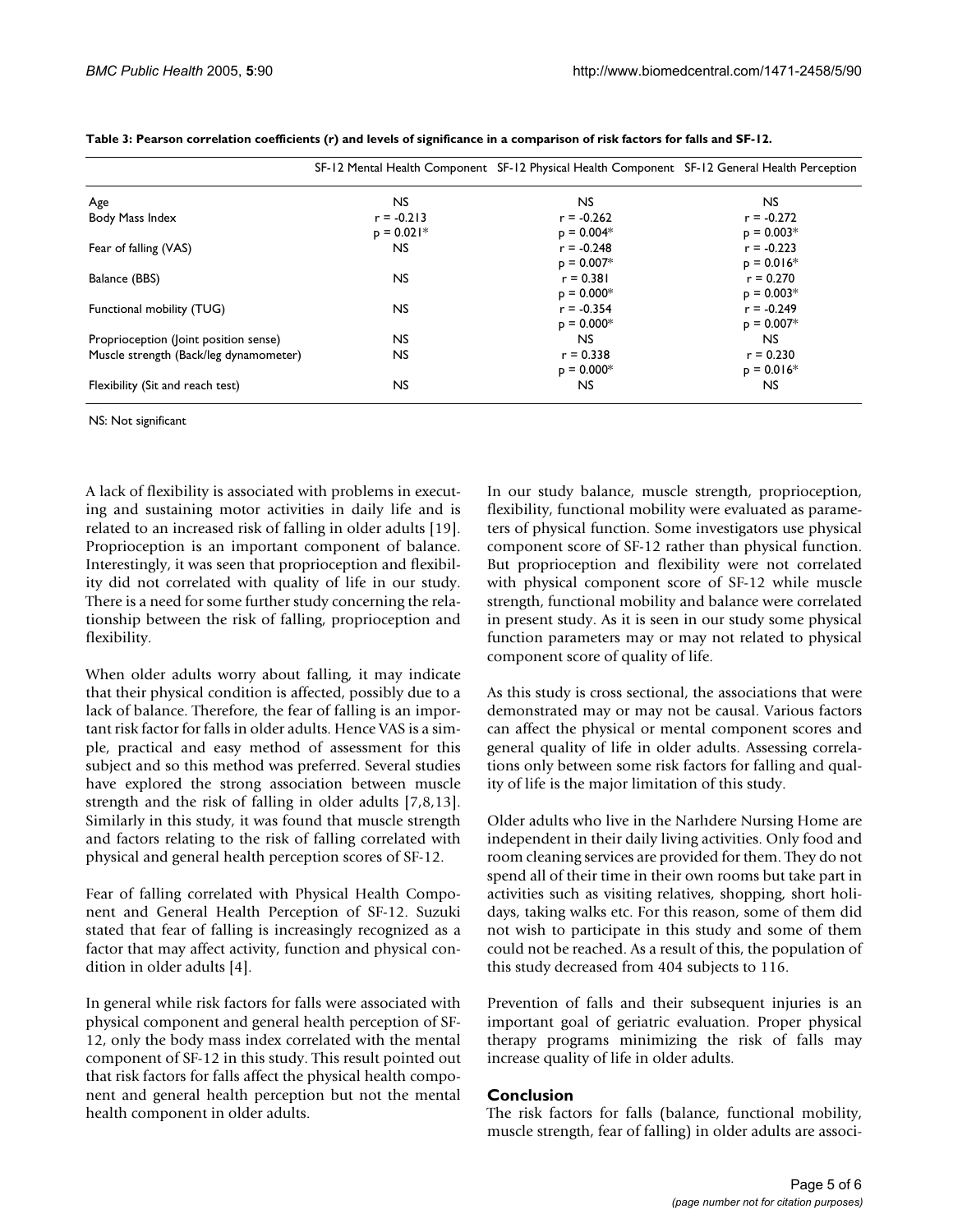|                                        |              | SF-12 Mental Health Component SF-12 Physical Health Component SF-12 General Health Perception |              |
|----------------------------------------|--------------|-----------------------------------------------------------------------------------------------|--------------|
| Age                                    | NS.          | NS.                                                                                           | <b>NS</b>    |
| Body Mass Index                        | $r = -0.213$ | $r = -0.262$                                                                                  | $r = -0.272$ |
|                                        | $p = 0.021*$ | $p = 0.004*$                                                                                  | $p = 0.003*$ |
| Fear of falling (VAS)                  | NS.          | $r = -0.248$                                                                                  | $r = -0.223$ |
|                                        |              | $p = 0.007*$                                                                                  | $p = 0.016*$ |
| Balance (BBS)                          | <b>NS</b>    | $r = 0.381$                                                                                   | $r = 0.270$  |
|                                        |              | $p = 0.000*$                                                                                  | $p = 0.003*$ |
| Functional mobility (TUG)              | NS.          | $r = -0.354$                                                                                  | $r = -0.249$ |
|                                        |              | $p = 0.000*$                                                                                  | $p = 0.007*$ |
| Proprioception (Joint position sense)  | NS.          | NS.                                                                                           | <b>NS</b>    |
| Muscle strength (Back/leg dynamometer) | NS.          | $r = 0.338$                                                                                   | $r = 0.230$  |
|                                        |              | $p = 0.000*$                                                                                  | $p = 0.016*$ |
| Flexibility (Sit and reach test)       | NS.          | NS.                                                                                           | <b>NS</b>    |

<span id="page-4-0"></span>**Table 3: Pearson correlation coefficients (r) and levels of significance in a comparison of risk factors for falls and SF-12.**

NS: Not significant

A lack of flexibility is associated with problems in executing and sustaining motor activities in daily life and is related to an increased risk of falling in older adults [19]. Proprioception is an important component of balance. Interestingly, it was seen that proprioception and flexibility did not correlated with quality of life in our study. There is a need for some further study concerning the relationship between the risk of falling, proprioception and flexibility.

When older adults worry about falling, it may indicate that their physical condition is affected, possibly due to a lack of balance. Therefore, the fear of falling is an important risk factor for falls in older adults. Hence VAS is a simple, practical and easy method of assessment for this subject and so this method was preferred. Several studies have explored the strong association between muscle strength and the risk of falling in older adults [7,8,13]. Similarly in this study, it was found that muscle strength and factors relating to the risk of falling correlated with physical and general health perception scores of SF-12.

Fear of falling correlated with Physical Health Component and General Health Perception of SF-12. Suzuki stated that fear of falling is increasingly recognized as a factor that may affect activity, function and physical condition in older adults [4].

In general while risk factors for falls were associated with physical component and general health perception of SF-12, only the body mass index correlated with the mental component of SF-12 in this study. This result pointed out that risk factors for falls affect the physical health component and general health perception but not the mental health component in older adults.

In our study balance, muscle strength, proprioception, flexibility, functional mobility were evaluated as parameters of physical function. Some investigators use physical component score of SF-12 rather than physical function. But proprioception and flexibility were not correlated with physical component score of SF-12 while muscle strength, functional mobility and balance were correlated in present study. As it is seen in our study some physical function parameters may or may not related to physical component score of quality of life.

As this study is cross sectional, the associations that were demonstrated may or may not be causal. Various factors can affect the physical or mental component scores and general quality of life in older adults. Assessing correlations only between some risk factors for falling and quality of life is the major limitation of this study.

Older adults who live in the Narlıdere Nursing Home are independent in their daily living activities. Only food and room cleaning services are provided for them. They do not spend all of their time in their own rooms but take part in activities such as visiting relatives, shopping, short holidays, taking walks etc. For this reason, some of them did not wish to participate in this study and some of them could not be reached. As a result of this, the population of this study decreased from 404 subjects to 116.

Prevention of falls and their subsequent injuries is an important goal of geriatric evaluation. Proper physical therapy programs minimizing the risk of falls may increase quality of life in older adults.

# **Conclusion**

The risk factors for falls (balance, functional mobility, muscle strength, fear of falling) in older adults are associ